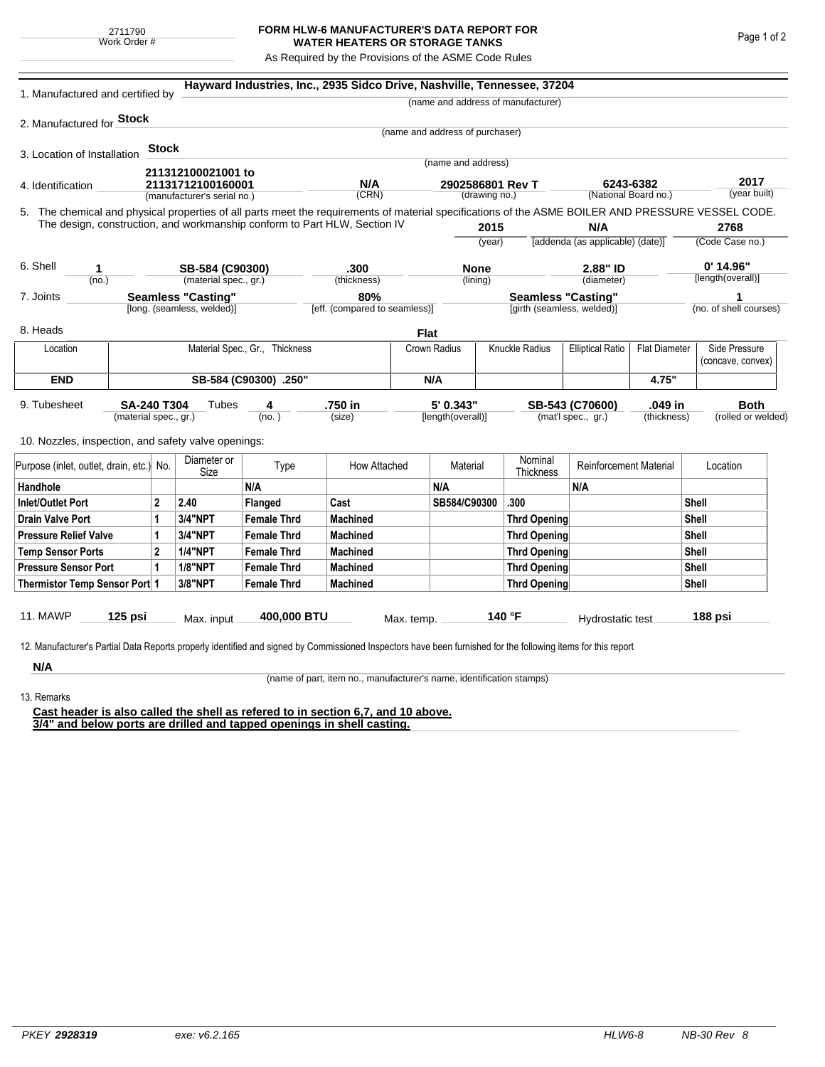## **FORM HLW-6 MANUFACTURER'S DATA REPORT FOR WATER HEATERS OR STORAGE TANKS**

As Required by the Provisions of the ASME Code Rules

| 1. Manufactured and certified by                                                                                                                                                                                                                                                   |                                |              |                             | Hayward Industries, Inc., 2935 Sidco Drive, Nashville, Tennessee, 37204 |                               |             |                                   |     |                                    |                                                 |                      |                         |                                    |  |
|------------------------------------------------------------------------------------------------------------------------------------------------------------------------------------------------------------------------------------------------------------------------------------|--------------------------------|--------------|-----------------------------|-------------------------------------------------------------------------|-------------------------------|-------------|-----------------------------------|-----|------------------------------------|-------------------------------------------------|----------------------|-------------------------|------------------------------------|--|
|                                                                                                                                                                                                                                                                                    |                                |              |                             |                                                                         |                               |             |                                   |     | (name and address of manufacturer) |                                                 |                      |                         |                                    |  |
| 2. Manufactured for Stock                                                                                                                                                                                                                                                          |                                |              |                             |                                                                         |                               |             |                                   |     |                                    |                                                 |                      |                         |                                    |  |
|                                                                                                                                                                                                                                                                                    |                                |              |                             |                                                                         |                               |             | (name and address of purchaser)   |     |                                    |                                                 |                      |                         |                                    |  |
| 3. Location of Installation                                                                                                                                                                                                                                                        |                                | <b>Stock</b> |                             |                                                                         |                               |             |                                   |     |                                    |                                                 |                      |                         |                                    |  |
|                                                                                                                                                                                                                                                                                    |                                |              | 211312100021001 to          |                                                                         |                               |             | (name and address)                |     |                                    |                                                 |                      |                         |                                    |  |
| 4. Identification                                                                                                                                                                                                                                                                  |                                |              | 21131712100160001           |                                                                         | N/A                           |             | 2902586801 Rev T<br>(drawing no.) |     | 6243-6382                          |                                                 |                      |                         | 2017<br>(year built)               |  |
|                                                                                                                                                                                                                                                                                    |                                |              | (manufacturer's serial no.) |                                                                         | (CRN)                         |             |                                   |     |                                    |                                                 | (National Board no.) |                         |                                    |  |
| 5. The chemical and physical properties of all parts meet the requirements of material specifications of the ASME BOILER AND PRESSURE VESSEL CODE.<br>The design, construction, and workmanship conform to Part HLW, Section IV                                                    |                                |              |                             |                                                                         |                               |             |                                   |     |                                    |                                                 |                      |                         |                                    |  |
|                                                                                                                                                                                                                                                                                    |                                |              |                             |                                                                         |                               |             | 2015<br>(year)                    |     |                                    | N/A<br>[addenda (as applicable) (date)]         |                      | 2768<br>(Code Case no.) |                                    |  |
|                                                                                                                                                                                                                                                                                    |                                |              |                             |                                                                         |                               |             |                                   |     |                                    |                                                 |                      |                         |                                    |  |
| 6. Shell<br>1                                                                                                                                                                                                                                                                      |                                |              | SB-584 (C90300)             |                                                                         | .300                          |             | <b>None</b>                       |     | 2.88" ID                           |                                                 | $0'$ 14.96"          |                         |                                    |  |
| (no.)                                                                                                                                                                                                                                                                              |                                |              |                             | (material spec., gr.)                                                   | (thickness)                   |             | (lining)                          |     |                                    | (diameter)                                      |                      |                         | [length(overall)]                  |  |
| <b>Seamless "Casting"</b><br>7. Joints                                                                                                                                                                                                                                             |                                |              |                             | 80%                                                                     | <b>Seamless "Casting"</b>     |             |                                   |     |                                    |                                                 | 1                    |                         |                                    |  |
|                                                                                                                                                                                                                                                                                    |                                |              | [long. (seamless, welded)]  |                                                                         | [eff. (compared to seamless)] |             |                                   |     | [girth (seamless, welded)]         |                                                 |                      |                         | (no. of shell courses)             |  |
| 8. Heads                                                                                                                                                                                                                                                                           |                                |              |                             |                                                                         |                               | <b>Flat</b> |                                   |     |                                    |                                                 |                      |                         |                                    |  |
| Location                                                                                                                                                                                                                                                                           | Material Spec., Gr., Thickness |              |                             |                                                                         |                               |             | Knuckle Radius<br>Crown Radius    |     |                                    | <b>Elliptical Ratio</b><br><b>Flat Diameter</b> |                      |                         | Side Pressure<br>(concave, convex) |  |
| <b>END</b>                                                                                                                                                                                                                                                                         |                                |              |                             | SB-584 (C90300) .250"                                                   |                               |             |                                   | N/A |                                    |                                                 | 4.75"                |                         |                                    |  |
| 5' 0.343"<br>.750 in<br>.049 in<br><b>Both</b><br>9. Tubesheet<br><b>SA-240 T304</b><br>Tubes<br>SB-543 (C70600)<br>4<br>(mat'l spec., gr.)<br>(material spec., gr.)<br>(no.)<br>(size)<br>[length(overall)]<br>(thickness)<br>10. Nozzles, inspection, and safety valve openings: |                                |              |                             |                                                                         |                               |             |                                   |     | (rolled or welded)                 |                                                 |                      |                         |                                    |  |
| Purpose (inlet, outlet, drain, etc.) No.                                                                                                                                                                                                                                           |                                |              | Diameter or<br>Size         | Type                                                                    | How Attached                  |             | Material                          |     | Nominal<br>Thickness               | <b>Reinforcement Material</b>                   |                      |                         | Location                           |  |
| Handhole                                                                                                                                                                                                                                                                           |                                |              |                             | N/A                                                                     |                               |             | N/A                               |     |                                    | N/A                                             |                      |                         |                                    |  |
| 2<br>Inlet/Outlet Port                                                                                                                                                                                                                                                             |                                |              | 2.40                        | Flanged                                                                 | Cast                          |             | SB584/C90300                      |     | .300                               |                                                 |                      | Shell                   |                                    |  |
| Drain Valve Port<br>1                                                                                                                                                                                                                                                              |                                |              | <b>3/4"NPT</b>              | <b>Female Thrd</b>                                                      | <b>Machined</b>               |             |                                   |     | Thrd Opening                       |                                                 |                      |                         | Shell                              |  |
| <b>Pressure Relief Valve</b><br>1                                                                                                                                                                                                                                                  |                                |              | 3/4"NPT                     | <b>Female Thrd</b>                                                      | <b>Machined</b>               |             |                                   |     | Thrd Opening                       |                                                 |                      | Shell                   |                                    |  |
| $\overline{2}$<br><b>Temp Sensor Ports</b>                                                                                                                                                                                                                                         |                                |              | <b>1/4"NPT</b>              | <b>Female Thrd</b>                                                      | <b>Machined</b>               |             |                                   |     | Thrd Opening                       |                                                 |                      | Shell                   |                                    |  |
| <b>Pressure Sensor Port</b><br>1                                                                                                                                                                                                                                                   |                                |              | <b>1/8"NPT</b>              | <b>Female Thrd</b>                                                      | <b>Machined</b>               |             |                                   |     | Thrd Opening                       |                                                 |                      | Shell                   |                                    |  |
| Thermistor Temp Sensor Port 1                                                                                                                                                                                                                                                      |                                |              | 3/8"NPT                     | <b>Female Thrd</b>                                                      | <b>Machined</b>               |             |                                   |     | Thrd Opening                       |                                                 |                      | Shell                   |                                    |  |
| 11. MAWP<br>$125$ psi<br>400,000 BTU<br>140 °F<br>188 psi<br>Max. input<br>Hydrostatic test<br>Max. temp.<br>12. Manufacturer's Partial Data Reports properly identified and signed by Commissioned Inspectors have been furnished for the following items for this report         |                                |              |                             |                                                                         |                               |             |                                   |     |                                    |                                                 |                      |                         |                                    |  |
| N/A                                                                                                                                                                                                                                                                                |                                |              |                             |                                                                         |                               |             |                                   |     |                                    |                                                 |                      |                         |                                    |  |

(name of part, item no., manufacturer's name, identification stamps)

13. Remarks

**Cast header is also called the shell as refered to in section 6,7, and 10 above. 3/4" and below ports are drilled and tapped openings in shell casting.**